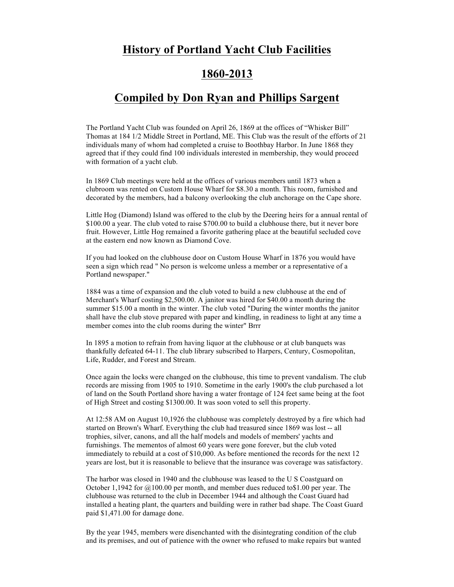## **History of Portland Yacht Club Facilities**

## **1860-2013**

## **Compiled by Don Ryan and Phillips Sargent**

The Portland Yacht Club was founded on April 26, 1869 at the offices of "Whisker Bill" Thomas at 184 1/2 Middle Street in Portland, ME. This Club was the result of the efforts of 21 individuals many of whom had completed a cruise to Boothbay Harbor. In June 1868 they agreed that if they could find 100 individuals interested in membership, they would proceed with formation of a yacht club.

In 1869 Club meetings were held at the offices of various members until 1873 when a clubroom was rented on Custom House Wharf for \$8.30 a month. This room, furnished and decorated by the members, had a balcony overlooking the club anchorage on the Cape shore.

Little Hog (Diamond) Island was offered to the club by the Deering heirs for a annual rental of \$100.00 a year. The club voted to raise \$700.00 to build a clubhouse there, but it never bore fruit. However, Little Hog remained a favorite gathering place at the beautiful secluded cove at the eastern end now known as Diamond Cove.

If you had looked on the clubhouse door on Custom House Wharf in 1876 you would have seen a sign which read " No person is welcome unless a member or a representative of a Portland newspaper."

1884 was a time of expansion and the club voted to build a new clubhouse at the end of Merchant's Wharf costing \$2,500.00. A janitor was hired for \$40.00 a month during the summer \$15.00 a month in the winter. The club voted "During the winter months the janitor shall have the club stove prepared with paper and kindling, in readiness to light at any time a member comes into the club rooms during the winter" Brrr

In 1895 a motion to refrain from having liquor at the clubhouse or at club banquets was thankfully defeated 64-11. The club library subscribed to Harpers, Century, Cosmopolitan, Life, Rudder, and Forest and Stream.

Once again the locks were changed on the clubhouse, this time to prevent vandalism. The club records are missing from 1905 to 1910. Sometime in the early 1900's the club purchased a lot of land on the South Portland shore having a water frontage of 124 feet same being at the foot of High Street and costing \$1300.00. It was soon voted to sell this property.

At 12:58 AM on August 10,1926 the clubhouse was completely destroyed by a fire which had started on Brown's Wharf. Everything the club had treasured since 1869 was lost -- all trophies, silver, canons, and all the half models and models of members' yachts and furnishings. The mementos of almost 60 years were gone forever, but the club voted immediately to rebuild at a cost of \$10,000. As before mentioned the records for the next 12 years are lost, but it is reasonable to believe that the insurance was coverage was satisfactory.

The harbor was closed in 1940 and the clubhouse was leased to the U S Coastguard on October 1,1942 for  $\omega$ 100.00 per month, and member dues reduced to \$1.00 per year. The clubhouse was returned to the club in December 1944 and although the Coast Guard had installed a heating plant, the quarters and building were in rather bad shape. The Coast Guard paid \$1,471.00 for damage done.

By the year 1945, members were disenchanted with the disintegrating condition of the club and its premises, and out of patience with the owner who refused to make repairs but wanted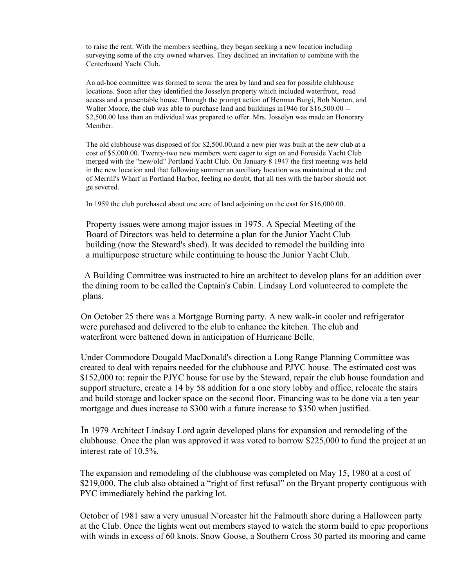to raise the rent. With the members seething, they began seeking a new location including surveying some of the city owned wharves. They declined an invitation to combine with the Centerboard Yacht Club.

An ad-hoc committee was formed to scour the area by land and sea for possible clubhouse locations. Soon after they identified the Josselyn property which included waterfront, road access and a presentable house. Through the prompt action of Herman Burgi, Bob Norton, and Walter Moore, the club was able to purchase land and buildings in 1946 for \$16,500.00 --\$2,500.00 less than an individual was prepared to offer. Mrs. Josselyn was made an Honorary Member.

The old clubhouse was disposed of for \$2,500.00,and a new pier was built at the new club at a cost of \$5,000.00. Twenty-two new members were eager to sign on and Foreside Yacht Club merged with the "new/old" Portland Yacht Club. On January 8 1947 the first meeting was held in the new location and that following summer an auxiliary location was maintained at the end of Merrill's Wharf in Portland Harbor, feeling no doubt, that all ties with the harbor should not ge severed.

In 1959 the club purchased about one acre of land adjoining on the east for \$16,000.00.

Property issues were among major issues in 1975. A Special Meeting of the Board of Directors was held to determine a plan for the Junior Yacht Club building (now the Steward's shed). It was decided to remodel the building into a multipurpose structure while continuing to house the Junior Yacht Club.

 A Building Committee was instructed to hire an architect to develop plans for an addition over the dining room to be called the Captain's Cabin. Lindsay Lord volunteered to complete the plans.

 On October 25 there was a Mortgage Burning party. A new walk-in cooler and refrigerator were purchased and delivered to the club to enhance the kitchen. The club and waterfront were battened down in anticipation of Hurricane Belle.

 Under Commodore Dougald MacDonald's direction a Long Range Planning Committee was created to deal with repairs needed for the clubhouse and PJYC house. The estimated cost was \$152,000 to: repair the PJYC house for use by the Steward, repair the club house foundation and support structure, create a 14 by 58 addition for a one story lobby and office, relocate the stairs and build storage and locker space on the second floor. Financing was to be done via a ten year mortgage and dues increase to \$300 with a future increase to \$350 when justified.

 In 1979 Architect Lindsay Lord again developed plans for expansion and remodeling of the clubhouse. Once the plan was approved it was voted to borrow \$225,000 to fund the project at an interest rate of 10.5%.

 The expansion and remodeling of the clubhouse was completed on May 15, 1980 at a cost of \$219,000. The club also obtained a "right of first refusal" on the Bryant property contiguous with PYC immediately behind the parking lot.

 October of 1981 saw a very unusual N'oreaster hit the Falmouth shore during a Halloween party at the Club. Once the lights went out members stayed to watch the storm build to epic proportions with winds in excess of 60 knots. Snow Goose, a Southern Cross 30 parted its mooring and came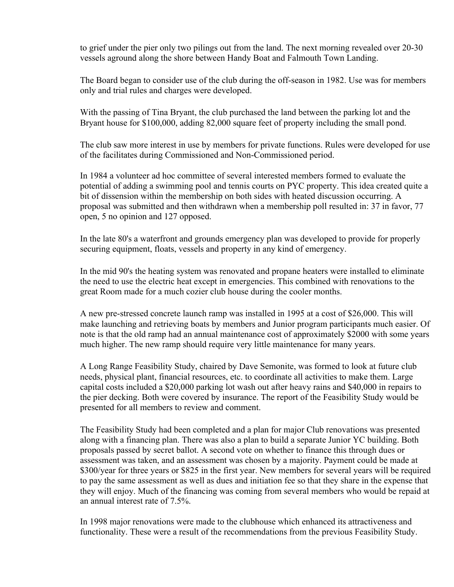to grief under the pier only two pilings out from the land. The next morning revealed over 20-30 vessels aground along the shore between Handy Boat and Falmouth Town Landing.

 The Board began to consider use of the club during the off-season in 1982. Use was for members only and trial rules and charges were developed.

 With the passing of Tina Bryant, the club purchased the land between the parking lot and the Bryant house for \$100,000, adding 82,000 square feet of property including the small pond.

 The club saw more interest in use by members for private functions. Rules were developed for use of the facilitates during Commissioned and Non-Commissioned period.

 In 1984 a volunteer ad hoc committee of several interested members formed to evaluate the potential of adding a swimming pool and tennis courts on PYC property. This idea created quite a bit of dissension within the membership on both sides with heated discussion occurring. A proposal was submitted and then withdrawn when a membership poll resulted in: 37 in favor, 77 open, 5 no opinion and 127 opposed.

 In the late 80's a waterfront and grounds emergency plan was developed to provide for properly securing equipment, floats, vessels and property in any kind of emergency.

 In the mid 90's the heating system was renovated and propane heaters were installed to eliminate the need to use the electric heat except in emergencies. This combined with renovations to the great Room made for a much cozier club house during the cooler months.

 A new pre-stressed concrete launch ramp was installed in 1995 at a cost of \$26,000. This will make launching and retrieving boats by members and Junior program participants much easier. Of note is that the old ramp had an annual maintenance cost of approximately \$2000 with some years much higher. The new ramp should require very little maintenance for many years.

 A Long Range Feasibility Study, chaired by Dave Semonite, was formed to look at future club needs, physical plant, financial resources, etc. to coordinate all activities to make them. Large capital costs included a \$20,000 parking lot wash out after heavy rains and \$40,000 in repairs to the pier decking. Both were covered by insurance. The report of the Feasibility Study would be presented for all members to review and comment.

 The Feasibility Study had been completed and a plan for major Club renovations was presented along with a financing plan. There was also a plan to build a separate Junior YC building. Both proposals passed by secret ballot. A second vote on whether to finance this through dues or assessment was taken, and an assessment was chosen by a majority. Payment could be made at \$300/year for three years or \$825 in the first year. New members for several years will be required to pay the same assessment as well as dues and initiation fee so that they share in the expense that they will enjoy. Much of the financing was coming from several members who would be repaid at an annual interest rate of 7.5%.

 In 1998 major renovations were made to the clubhouse which enhanced its attractiveness and functionality. These were a result of the recommendations from the previous Feasibility Study.